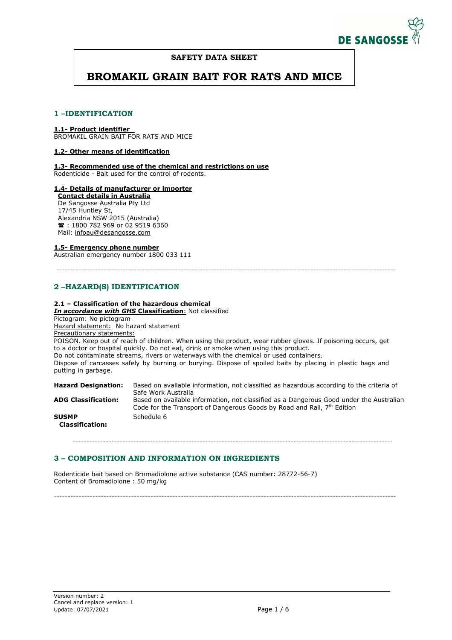

# **SAFETY DATA SHEET**

# **BROMAKIL GRAIN BAIT FOR RATS AND MICE**

# **1 –IDENTIFICATION**

# **1.1- Product identifier**

BROMAKIL GRAIN BAIT FOR RATS AND MICE

# **1.2- Other means of identification**

**1.3- Recommended use of the chemical and restrictions on use** Rodenticide - Bait used for the control of rodents.

# **1.4- Details of manufacturer or importer**

**Contact details in Australia**  De Sangosse Australia Pty Ltd 17/45 Huntley St, Alexandria NSW 2015 (Australia) **■**: 1800 782 969 or 02 9519 6360 Mail: infoau@desangosse.com

# **1.5- Emergency phone number**

Australian emergency number 1800 033 111

---------------------------------------------------------------------------------------------------------------------------

# **2 –HAZARD(S) IDENTIFICATION**

# **2.1 – Classification of the hazardous chemical**

*In accordance with GHS* **Classification**: Not classified

Pictogram: No pictogram Hazard statement: No hazard statement

Precautionary statements:

POISON. Keep out of reach of children. When using the product, wear rubber gloves. If poisoning occurs, get to a doctor or hospital quickly. Do not eat, drink or smoke when using this product. Do not contaminate streams, rivers or waterways with the chemical or used containers. Dispose of carcasses safely by burning or burying. Dispose of spoiled baits by placing in plastic bags and putting in garbage.

**Hazard Designation:** Based on available information, not classified as hazardous according to the criteria of Safe Work Australia **ADG Classification:** Based on available information, not classified as a Dangerous Good under the Australian Code for the Transport of Dangerous Goods by Road and Rail, 7<sup>th</sup> Edition **SUSMP Classification:**  Schedule 6

--------------------------------------------------------------------------------------------------------------------

----------------------------------------------------------------------------------------------------------------------------

# **3 – COMPOSITION AND INFORMATION ON INGREDIENTS**

Rodenticide bait based on Bromadiolone active substance (CAS number: 28772-56-7) Content of Bromadiolone : 50 mg/kg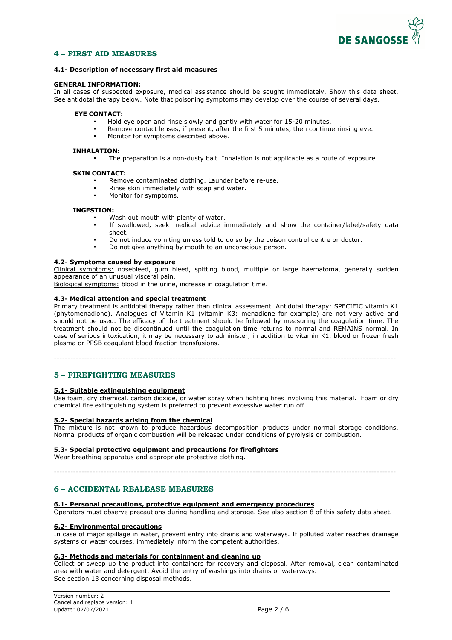

# **4 – FIRST AID MEASURES**

# **4.1- Description of necessary first aid measures**

#### **GENERAL INFORMATION:**

In all cases of suspected exposure, medical assistance should be sought immediately. Show this data sheet. See antidotal therapy below. Note that poisoning symptoms may develop over the course of several days.

## **EYE CONTACT:**

- Hold eye open and rinse slowly and gently with water for 15-20 minutes.
- Remove contact lenses, if present, after the first 5 minutes, then continue rinsing eye.
	- Monitor for symptoms described above.

#### **INHALATION:**

• The preparation is a non-dusty bait. Inhalation is not applicable as a route of exposure.

#### **SKIN CONTACT:**

- Remove contaminated clothing. Launder before re-use.
- Rinse skin immediately with soap and water.
- Monitor for symptoms.

#### **INGESTION:**

- Wash out mouth with plenty of water.
- If swallowed, seek medical advice immediately and show the container/label/safety data sheet.
- Do not induce vomiting unless told to do so by the poison control centre or doctor.
- Do not give anything by mouth to an unconscious person.

## **4.2- Symptoms caused by exposure**

Clinical symptoms: nosebleed, gum bleed, spitting blood, multiple or large haematoma, generally sudden appearance of an unusual visceral pain.

Biological symptoms: blood in the urine, increase in coagulation time.

## **4.3- Medical attention and special treatment**

Primary treatment is antidotal therapy rather than clinical assessment. Antidotal therapy: SPECIFIC vitamin K1 (phytomenadione). Analogues of Vitamin K1 (vitamin K3: menadione for example) are not very active and should not be used. The efficacy of the treatment should be followed by measuring the coagulation time. The treatment should not be discontinued until the coagulation time returns to normal and REMAINS normal. In case of serious intoxication, it may be necessary to administer, in addition to vitamin K1, blood or frozen fresh plasma or PPSB coagulant blood fraction transfusions.

----------------------------------------------------------------------------------------------------------------------------

# **5 – FIREFIGHTING MEASURES**

## **5.1- Suitable extinguishing equipment**

Use foam, dry chemical, carbon dioxide, or water spray when fighting fires involving this material. Foam or dry chemical fire extinguishing system is preferred to prevent excessive water run off.

# **5.2- Special hazards arising from the chemical**

The mixture is not known to produce hazardous decomposition products under normal storage conditions. Normal products of organic combustion will be released under conditions of pyrolysis or combustion.

#### **5.3- Special protective equipment and precautions for firefighters**

Wear breathing apparatus and appropriate protective clothing.

----------------------------------------------------------------------------------------------------------------------------

# **6 – ACCIDENTAL REALEASE MEASURES**

## **6.1- Personal precautions, protective equipment and emergency procedures**

Operators must observe precautions during handling and storage. See also section 8 of this safety data sheet.

## **6.2- Environmental precautions**

In case of major spillage in water, prevent entry into drains and waterways. If polluted water reaches drainage systems or water courses, immediately inform the competent authorities.

## **6.3- Methods and materials for containment and cleaning up**

Collect or sweep up the product into containers for recovery and disposal. After removal, clean contaminated area with water and detergent. Avoid the entry of washings into drains or waterways. See section 13 concerning disposal methods.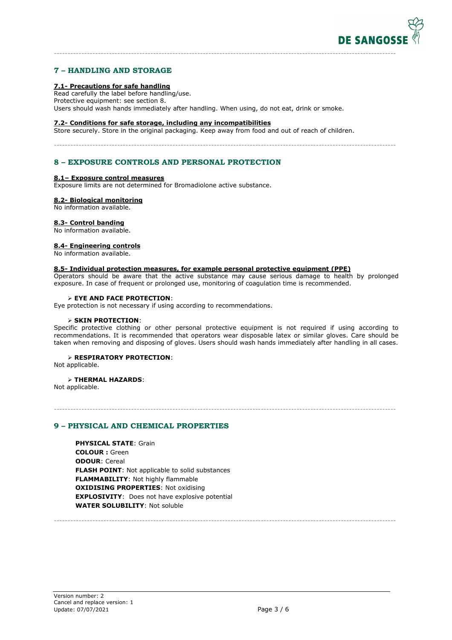

# **7 – HANDLING AND STORAGE**

# **7.1- Precautions for safe handling**

Read carefully the label before handling/use. Protective equipment: see section 8. Users should wash hands immediately after handling. When using, do not eat, drink or smoke.

----------------------------------------------------------------------------------------------------------------------------

----------------------------------------------------------------------------------------------------------------------------

#### **7.2- Conditions for safe storage, including any incompatibilities**

Store securely. Store in the original packaging. Keep away from food and out of reach of children.

# **8 – EXPOSURE CONTROLS AND PERSONAL PROTECTION**

# **8.1– Exposure control measures**

Exposure limits are not determined for Bromadiolone active substance.

#### **8.2- Biological monitoring**

No information available.

#### **8.3- Control banding**

No information available.

#### **8.4- Engineering controls**

No information available.

# **8.5- Individual protection measures, for example personal protective equipment (PPE)**

Operators should be aware that the active substance may cause serious damage to health by prolonged exposure. In case of frequent or prolonged use, monitoring of coagulation time is recommended.

## **EYE AND FACE PROTECTION**:

Eye protection is not necessary if using according to recommendations.

#### **SKIN PROTECTION**:

Specific protective clothing or other personal protective equipment is not required if using according to recommendations. It is recommended that operators wear disposable latex or similar gloves. Care should be taken when removing and disposing of gloves. Users should wash hands immediately after handling in all cases.

----------------------------------------------------------------------------------------------------------------------------

----------------------------------------------------------------------------------------------------------------------------

# **RESPIRATORY PROTECTION**:

Not applicable.

#### **THERMAL HAZARDS**:

Not applicable.

# **9 – PHYSICAL AND CHEMICAL PROPERTIES**

**PHYSICAL STATE**: Grain **COLOUR :** Green **ODOUR**: Cereal **FLASH POINT**: Not applicable to solid substances **FLAMMABILITY**: Not highly flammable **OXIDISING PROPERTIES**: Not oxidising **EXPLOSIVITY**: Does not have explosive potential **WATER SOLUBILITY**: Not soluble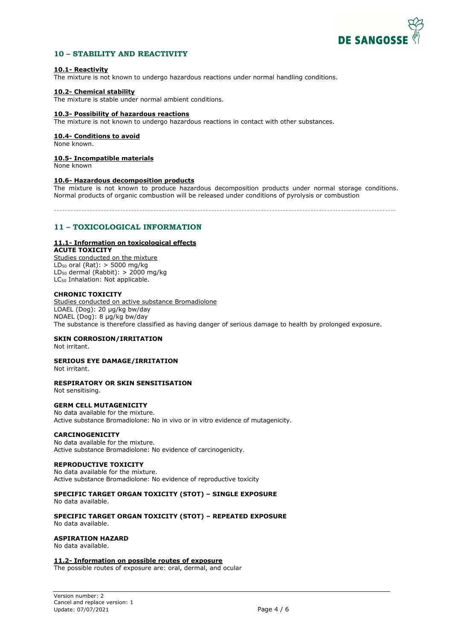

# **10 – STABILITY AND REACTIVITY**

## **10.1- Reactivity**

The mixture is not known to undergo hazardous reactions under normal handling conditions.

# **10.2- Chemical stability**

The mixture is stable under normal ambient conditions.

#### **10.3- Possibility of hazardous reactions**

The mixture is not known to undergo hazardous reactions in contact with other substances.

# **10.4- Conditions to avoid**

None known.

## **10.5- Incompatible materials**

None known

## **10.6- Hazardous decomposition products**

The mixture is not known to produce hazardous decomposition products under normal storage conditions. Normal products of organic combustion will be released under conditions of pyrolysis or combustion

----------------------------------------------------------------------------------------------------------------------------

# **11 – TOXICOLOGICAL INFORMATION**

# **11.1- Information on toxicological effects**

**ACUTE TOXICITY**  Studies conducted on the mixture  $LD_{50}$  oral (Rat): > 5000 mg/kg

LD<sub>50</sub> dermal (Rabbit):  $> 2000$  mg/kg LC<sub>50</sub> Inhalation: Not applicable.

# **CHRONIC TOXICITY**

Studies conducted on active substance Bromadiolone LOAEL (Dog): 20 µg/kg bw/day NOAEL (Dog): 8 µg/kg bw/day The substance is therefore classified as having danger of serious damage to health by prolonged exposure.

# **SKIN CORROSION/IRRITATION**

Not irritant.

# **SERIOUS EYE DAMAGE/IRRITATION**

Not irritant.

## **RESPIRATORY OR SKIN SENSITISATION**

Not sensitising.

## **GERM CELL MUTAGENICITY**

No data available for the mixture. Active substance Bromadiolone: No in vivo or in vitro evidence of mutagenicity.

## **CARCINOGENICITY**

No data available for the mixture. Active substance Bromadiolone: No evidence of carcinogenicity.

## **REPRODUCTIVE TOXICITY**

No data available for the mixture. Active substance Bromadiolone: No evidence of reproductive toxicity

# **SPECIFIC TARGET ORGAN TOXICITY (STOT) – SINGLE EXPOSURE**

No data available.

**SPECIFIC TARGET ORGAN TOXICITY (STOT) – REPEATED EXPOSURE**  No data available.

# **ASPIRATION HAZARD**

No data available.

# **11.2- Information on possible routes of exposure**

The possible routes of exposure are: oral, dermal, and ocular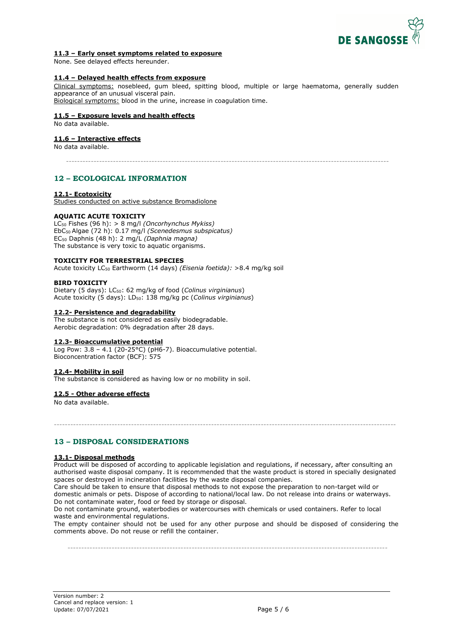

## **11.3 – Early onset symptoms related to exposure**

None. See delayed effects hereunder.

# **11.4 – Delayed health effects from exposure**

Clinical symptoms: nosebleed, gum bleed, spitting blood, multiple or large haematoma, generally sudden appearance of an unusual visceral pain.

Biological symptoms: blood in the urine, increase in coagulation time.

# **11.5 – Exposure levels and health effects**

No data available.

# **11.6 – Interactive effects**

No data available.

---------------------------------------------------------------------------------------------------------------------

# **12 – ECOLOGICAL INFORMATION**

## **12.1- Ecotoxicity**

Studies conducted on active substance Bromadiolone

# **AQUATIC ACUTE TOXICITY**

LC50 Fishes (96 h): > 8 mg/l *(Oncorhynchus Mykiss)*  EbC50 Algae (72 h): 0.17 mg/l *(Scenedesmus subspicatus)*  EC50 Daphnis (48 h): 2 mg/L *(Daphnia magna)* The substance is very toxic to aquatic organisms.

## **TOXICITY FOR TERRESTRIAL SPECIES**

Acute toxicity LC50 Earthworm (14 days) *(Eisenia foetida):* >8.4 mg/kg soil

## **BIRD TOXICITY**

Dietary (5 days): LC50: 62 mg/kg of food (*Colinus virginianus*) Acute toxicity (5 days): LD50: 138 mg/kg pc (*Colinus virginianus*)

## **12.2- Persistence and degradability**

The substance is not considered as easily biodegradable. Aerobic degradation: 0% degradation after 28 days.

## **12.3- Bioaccumulative potential**

Log Pow:  $3.8 - 4.1$  (20-25°C) (pH6-7). Bioaccumulative potential. Bioconcentration factor (BCF): 575

## **12.4- Mobility in soil**

The substance is considered as having low or no mobility in soil.

# **12.5 - Other adverse effects**

No data available.

# **13 – DISPOSAL CONSIDERATIONS**

# **13.1- Disposal methods**

Product will be disposed of according to applicable legislation and regulations, if necessary, after consulting an authorised waste disposal company. It is recommended that the waste product is stored in specially designated spaces or destroyed in incineration facilities by the waste disposal companies.

----------------------------------------------------------------------------------------------------------------------------

Care should be taken to ensure that disposal methods to not expose the preparation to non-target wild or domestic animals or pets. Dispose of according to national/local law. Do not release into drains or waterways. Do not contaminate water, food or feed by storage or disposal.

Do not contaminate ground, waterbodies or watercourses with chemicals or used containers. Refer to local waste and environmental regulations.

The empty container should not be used for any other purpose and should be disposed of considering the comments above. Do not reuse or refill the container.

--------------------------------------------------------------------------------------------------------------------